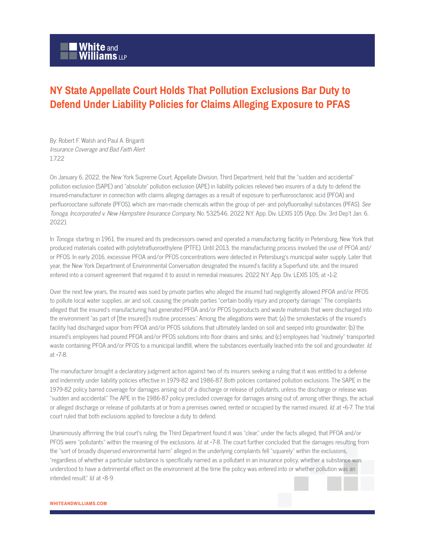## White and<br>Williams LLP

## **NY State Appellate Court Holds That Pollution Exclusions Bar Duty to Defend Under Liability Policies for Claims Alleging Exposure to PFAS**

By: Robert F. Walsh and Paul A. Briganti Insurance Coverage and Bad Faith Alert 1722

On January 6, 2022, the New York Supreme Court, Appellate Division, Third Department, held that the "sudden and accidental" pollution exclusion (SAPE) and "absolute" pollution exclusion (APE) in liability policies relieved two insurers of a duty to defend the insured-manufacturer in connection with claims alleging damages as a result of exposure to perfluorooctanoic acid (PFOA) and perfluorooctane sulfonate (PFOS), which are man-made chemicals within the group of per- and polyfluoroalkyl substances (PFAS). See Tonoga, Incorporated v. New Hampshire Insurance Company, No. 532546, 2022 N.Y. App. Div. LEXIS 105 (App. Div. 3rd Dep't Jan. 6, 2022).

In Tonoga, starting in 1961, the insured and its predecessors owned and operated a manufacturing facility in Petersburg, New York that produced materials coated with polytetrafluoroethylene (PTFE). Until 2013, the manufacturing process involved the use of PFOA and/ or PFOS. In early 2016, excessive PFOA and/or PFOS concentrations were detected in Petersburg's municipal water supply. Later that year, the New York Department of Environmental Conversation designated the insured's facility a Superfund site, and the insured entered into a consent agreement that required it to assist in remedial measures. 2022 N.Y. App. Div. LEXIS 105, at \*1-2.

Over the next few years, the insured was sued by private parties who alleged the insured had negligently allowed PFOA and/or PFOS to pollute local water supplies, air and soil, causing the private parties "certain bodily injury and property damage." The complaints alleged that the insured's manufacturing had generated PFOA and/or PFOS byproducts and waste materials that were discharged into the environment "as part of [the insured]'s routine processes." Among the allegations were that: (a) the smokestacks of the insured's facility had discharged vapor from PFOA and/or PFOS solutions that ultimately landed on soil and seeped into groundwater; (b) the insured's employees had poured PFOA and/or PFOS solutions into floor drains and sinks; and (c) employees had "routinely" transported waste containing PFOA and/or PFOS to a municipal landfill, where the substances eventually leached into the soil and groundwater. Id. at \*7-8.

The manufacturer brought a declaratory judgment action against two of its insurers seeking a ruling that it was entitled to a defense and indemnity under liability policies effective in 1979-82 and 1986-87. Both policies contained pollution exclusions. The SAPE in the 1979-82 policy barred coverage for damages arising out of a discharge or release of pollutants, unless the discharge or release was "sudden and accidental." The APE in the 1986-87 policy precluded coverage for damages arising out of, among other things, the actual or alleged discharge or release of pollutants at or from a premises owned, rented or occupied by the named insured. Id. at +6-7. The trial court ruled that both exclusions applied to foreclose a duty to defend.

Unanimously affirming the trial court's ruling, the Third Department found it was "clear," under the facts alleged, that PFOA and/or PFOS were "pollutants" within the meaning of the exclusions. Id. at  $*7$ -8. The court further concluded that the damages resulting from the "sort of broadly dispersed environmental harm" alleged in the underlying complaints fell "squarely" within the exclusions, "regardless of whether a particular substance is specifically named as a pollutant in an insurance policy, whether a substance was understood to have a detrimental effect on the environment at the time the policy was entered into or whether pollution was an intended result." Id. at \*8-9.